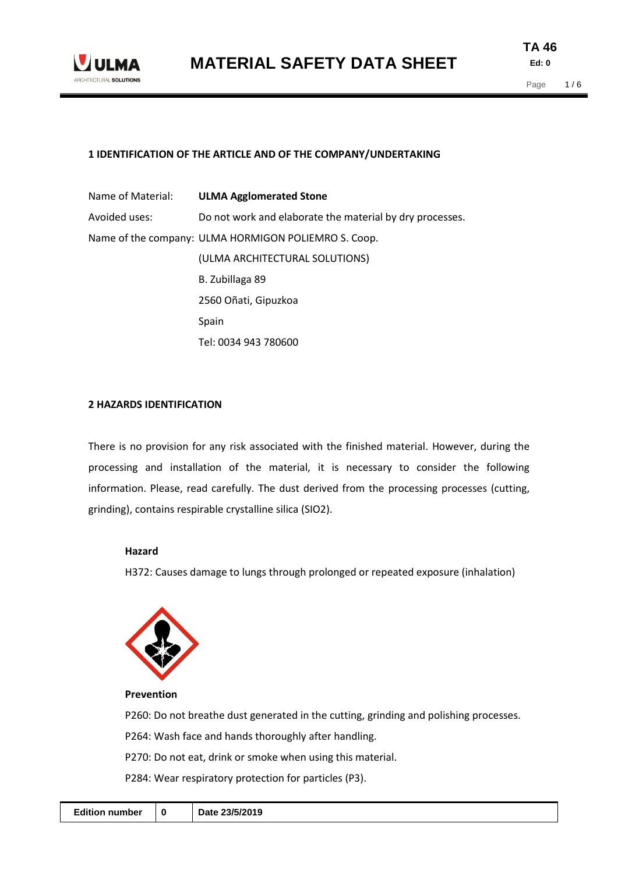

# **1 IDENTIFICATION OF THE ARTICLE AND OF THE COMPANY/UNDERTAKING**

| Name of Material: | <b>ULMA Agglomerated Stone</b>                           |
|-------------------|----------------------------------------------------------|
| Avoided uses:     | Do not work and elaborate the material by dry processes. |
|                   | Name of the company: ULMA HORMIGON POLIEMRO S. Coop.     |
|                   | (ULMA ARCHITECTURAL SOLUTIONS)                           |
|                   | B. Zubillaga 89                                          |
|                   | 2560 Oñati, Gipuzkoa                                     |
|                   | Spain                                                    |
|                   | Tel: 0034 943 780600                                     |

# **2 HAZARDS IDENTIFICATION**

There is no provision for any risk associated with the finished material. However, during the processing and installation of the material, it is necessary to consider the following information. Please, read carefully. The dust derived from the processing processes (cutting, grinding), contains respirable crystalline silica (SIO2).

# **Hazard**

H372: Causes damage to lungs through prolonged or repeated exposure (inhalation)



**Prevention** 

P260: Do not breathe dust generated in the cutting, grinding and polishing processes.

P264: Wash face and hands thoroughly after handling.

P270: Do not eat, drink or smoke when using this material.

P284: Wear respiratory protection for particles (P3).

|--|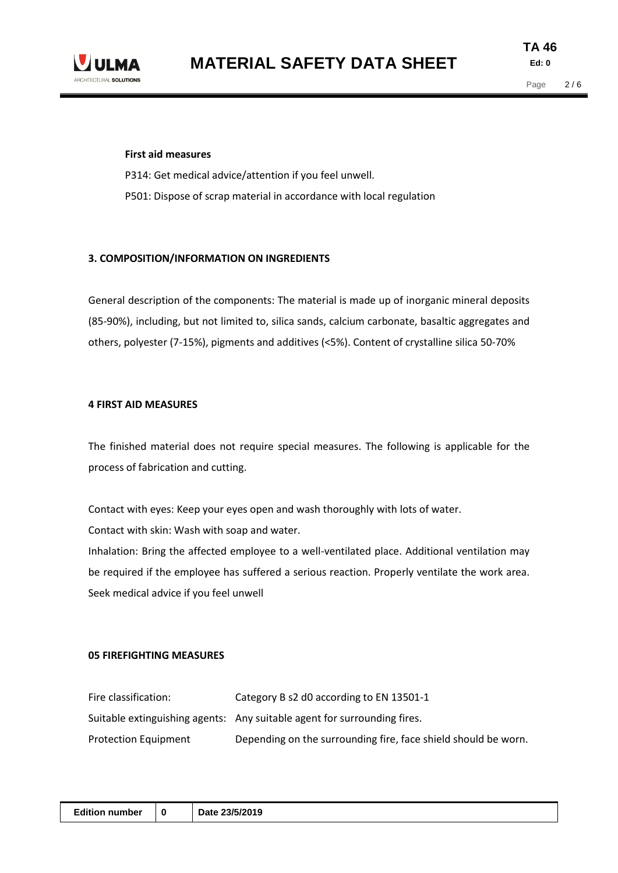

#### **First aid measures**

P314: Get medical advice/attention if you feel unwell. P501: Dispose of scrap material in accordance with local regulation

#### **3. COMPOSITION/INFORMATION ON INGREDIENTS**

General description of the components: The material is made up of inorganic mineral deposits (85-90%), including, but not limited to, silica sands, calcium carbonate, basaltic aggregates and others, polyester (7-15%), pigments and additives (<5%). Content of crystalline silica 50-70%

#### **4 FIRST AID MEASURES**

The finished material does not require special measures. The following is applicable for the process of fabrication and cutting.

Contact with eyes: Keep your eyes open and wash thoroughly with lots of water.

Contact with skin: Wash with soap and water.

Inhalation: Bring the affected employee to a well-ventilated place. Additional ventilation may be required if the employee has suffered a serious reaction. Properly ventilate the work area. Seek medical advice if you feel unwell

#### **05 FIREFIGHTING MEASURES**

| Fire classification:        | Category B s2 d0 according to EN 13501-1                                 |
|-----------------------------|--------------------------------------------------------------------------|
|                             | Suitable extinguishing agents: Any suitable agent for surrounding fires. |
| <b>Protection Equipment</b> | Depending on the surrounding fire, face shield should be worn.           |

| <b>Edition number</b><br>Date 23/5/2019<br>0 |
|----------------------------------------------|
|----------------------------------------------|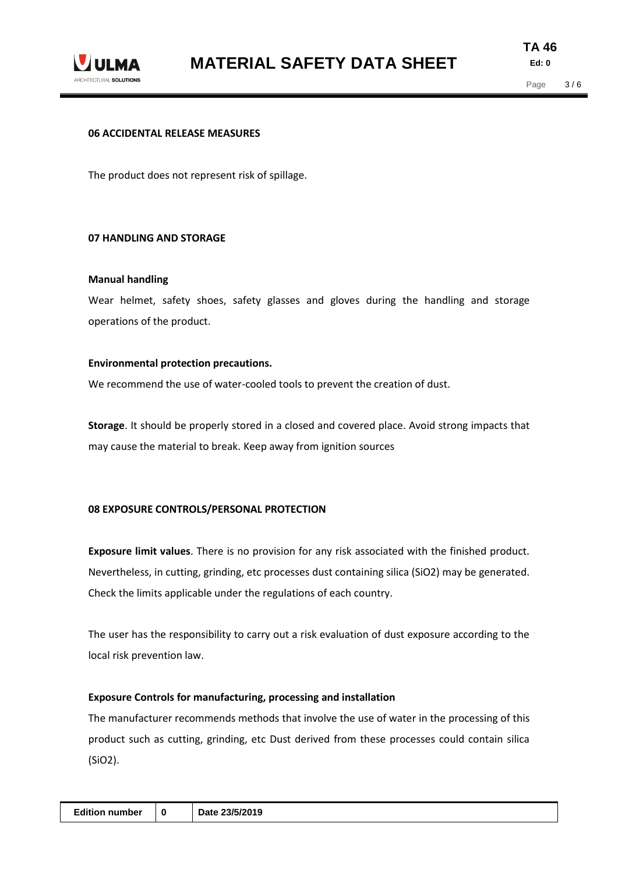

#### **06 ACCIDENTAL RELEASE MEASURES**

The product does not represent risk of spillage.

## **07 HANDLING AND STORAGE**

#### **Manual handling**

Wear helmet, safety shoes, safety glasses and gloves during the handling and storage operations of the product.

## **Environmental protection precautions.**

We recommend the use of water-cooled tools to prevent the creation of dust.

**Storage**. It should be properly stored in a closed and covered place. Avoid strong impacts that may cause the material to break. Keep away from ignition sources

# **08 EXPOSURE CONTROLS/PERSONAL PROTECTION**

**Exposure limit values**. There is no provision for any risk associated with the finished product. Nevertheless, in cutting, grinding, etc processes dust containing silica (SiO2) may be generated. Check the limits applicable under the regulations of each country.

The user has the responsibility to carry out a risk evaluation of dust exposure according to the local risk prevention law.

# **Exposure Controls for manufacturing, processing and installation**

The manufacturer recommends methods that involve the use of water in the processing of this product such as cutting, grinding, etc Dust derived from these processes could contain silica (SiO2).

| <b>Edition number</b> | 0 | 23/5/2019<br>∧ חteת |
|-----------------------|---|---------------------|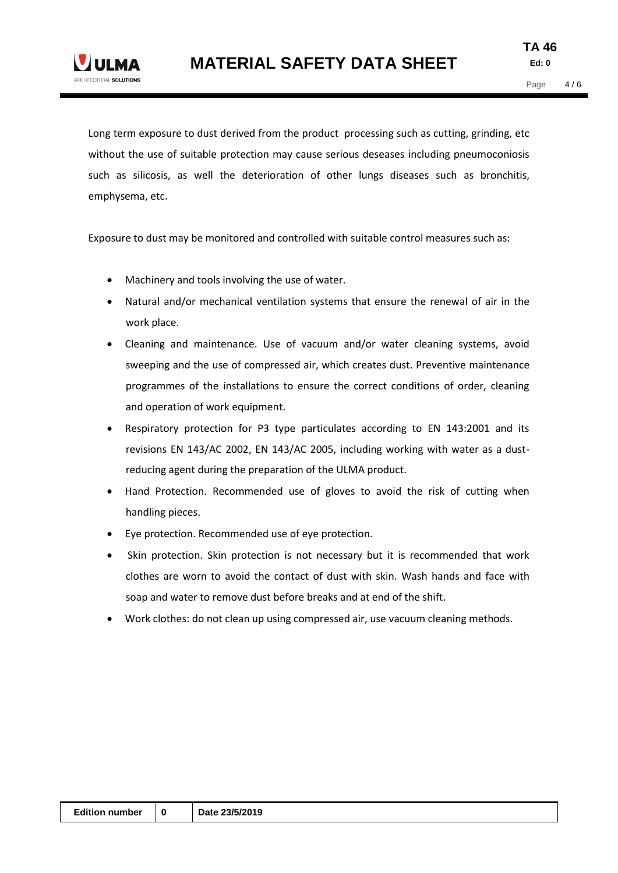

Long term exposure to dust derived from the product processing such as cutting, grinding, etc. without the use of suitable protection may cause serious deseases including pneumoconiosis such as silicosis, as well the deterioration of other lungs diseases such as bronchitis, emphysema, etc.

Exposure to dust may be monitored and controlled with suitable control measures such as:

- Machinery and tools involving the use of water.
- Natural and/or mechanical ventilation systems that ensure the renewal of air in the work place.
- Cleaning and maintenance. Use of vacuum and/or water cleaning systems, avoid sweeping and the use of compressed air, which creates dust. Preventive maintenance programmes of the installations to ensure the correct conditions of order, cleaning and operation of work equipment.
- Respiratory protection for P3 type particulates according to EN 143:2001 and its revisions EN 143/AC 2002, EN 143/AC 2005, including working with water as a dustreducing agent during the preparation of the ULMA product.
- Hand Protection. Recommended use of gloves to avoid the risk of cutting when handling pieces.
- Eye protection. Recommended use of eye protection.
- Skin protection. Skin protection is not necessary but it is recommended that work clothes are worn to avoid the contact of dust with skin. Wash hands and face with soap and water to remove dust before breaks and at end of the shift.
- Work clothes: do not clean up using compressed air, use vacuum cleaning methods.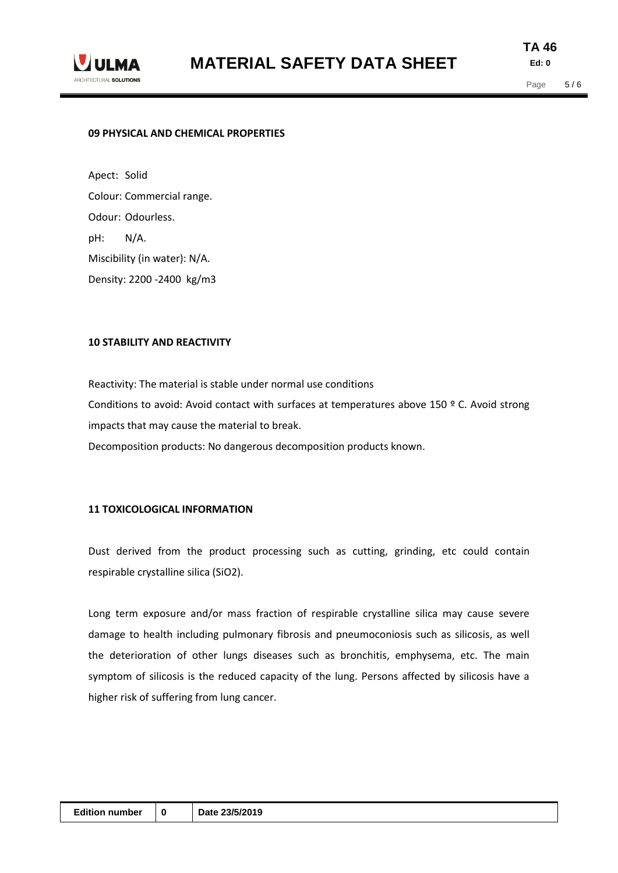

**TA 46 Ed: 0**

#### **09 PHYSICAL AND CHEMICAL PROPERTIES**

Apect: Solid Colour: Commercial range. Odour: Odourless. pH: N/A. Miscibility (in water): N/A. Density: 2200 -2400 kg/m3

#### **10 STABILITY AND REACTIVITY**

Reactivity: The material is stable under normal use conditions Conditions to avoid: Avoid contact with surfaces at temperatures above 150 º C. Avoid strong impacts that may cause the material to break. Decomposition products: No dangerous decomposition products known.

#### **11 TOXICOLOGICAL INFORMATION**

Dust derived from the product processing such as cutting, grinding, etc could contain respirable crystalline silica (SiO2).

Long term exposure and/or mass fraction of respirable crystalline silica may cause severe damage to health including pulmonary fibrosis and pneumoconiosis such as silicosis, as well the deterioration of other lungs diseases such as bronchitis, emphysema, etc. The main symptom of silicosis is the reduced capacity of the lung. Persons affected by silicosis have a higher risk of suffering from lung cancer.